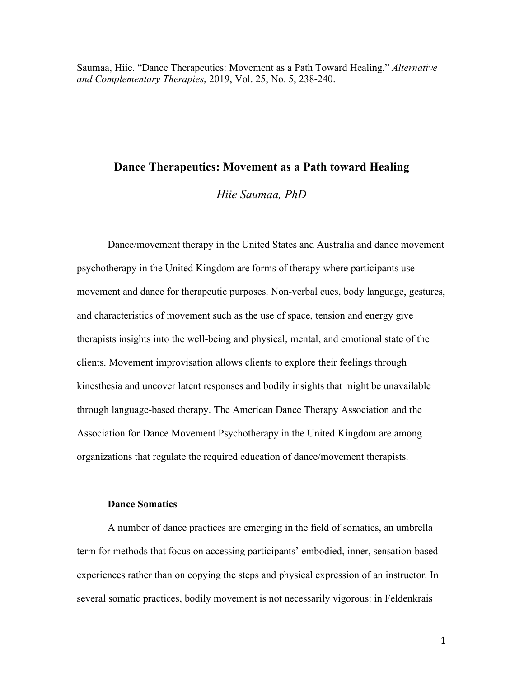Saumaa, Hiie. "Dance Therapeutics: Movement as a Path Toward Healing." *Alternative and Complementary Therapies*, 2019, Vol. 25, No. 5, 238-240.

# **Dance Therapeutics: Movement as a Path toward Healing**

*Hiie Saumaa, PhD*

Dance/movement therapy in the United States and Australia and dance movement psychotherapy in the United Kingdom are forms of therapy where participants use movement and dance for therapeutic purposes. Non-verbal cues, body language, gestures, and characteristics of movement such as the use of space, tension and energy give therapists insights into the well-being and physical, mental, and emotional state of the clients. Movement improvisation allows clients to explore their feelings through kinesthesia and uncover latent responses and bodily insights that might be unavailable through language-based therapy. The American Dance Therapy Association and the Association for Dance Movement Psychotherapy in the United Kingdom are among organizations that regulate the required education of dance/movement therapists.

# **Dance Somatics**

A number of dance practices are emerging in the field of somatics, an umbrella term for methods that focus on accessing participants' embodied, inner, sensation-based experiences rather than on copying the steps and physical expression of an instructor. In several somatic practices, bodily movement is not necessarily vigorous: in Feldenkrais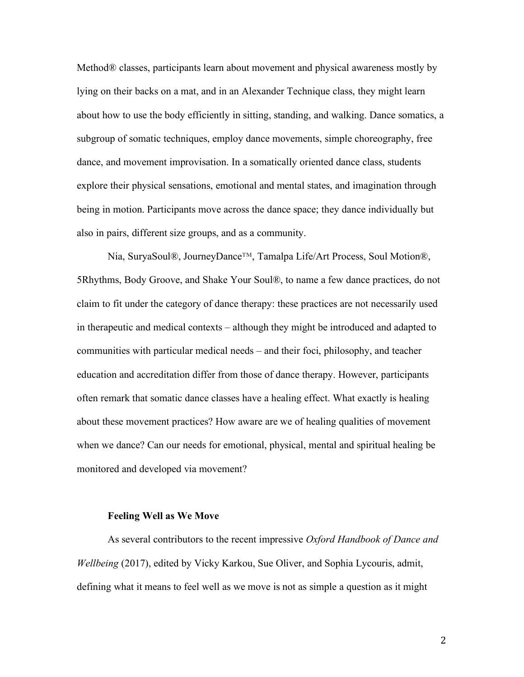Method® classes, participants learn about movement and physical awareness mostly by lying on their backs on a mat, and in an Alexander Technique class, they might learn about how to use the body efficiently in sitting, standing, and walking. Dance somatics, a subgroup of somatic techniques, employ dance movements, simple choreography, free dance, and movement improvisation. In a somatically oriented dance class, students explore their physical sensations, emotional and mental states, and imagination through being in motion. Participants move across the dance space; they dance individually but also in pairs, different size groups, and as a community.

Nia, SuryaSoul®, JourneyDance™, Tamalpa Life/Art Process, Soul Motion®, 5Rhythms, Body Groove, and Shake Your Soul®, to name a few dance practices, do not claim to fit under the category of dance therapy: these practices are not necessarily used in therapeutic and medical contexts – although they might be introduced and adapted to communities with particular medical needs – and their foci, philosophy, and teacher education and accreditation differ from those of dance therapy. However, participants often remark that somatic dance classes have a healing effect. What exactly is healing about these movement practices? How aware are we of healing qualities of movement when we dance? Can our needs for emotional, physical, mental and spiritual healing be monitored and developed via movement?

#### **Feeling Well as We Move**

As several contributors to the recent impressive *Oxford Handbook of Dance and Wellbeing* (2017), edited by Vicky Karkou, Sue Oliver, and Sophia Lycouris, admit, defining what it means to feel well as we move is not as simple a question as it might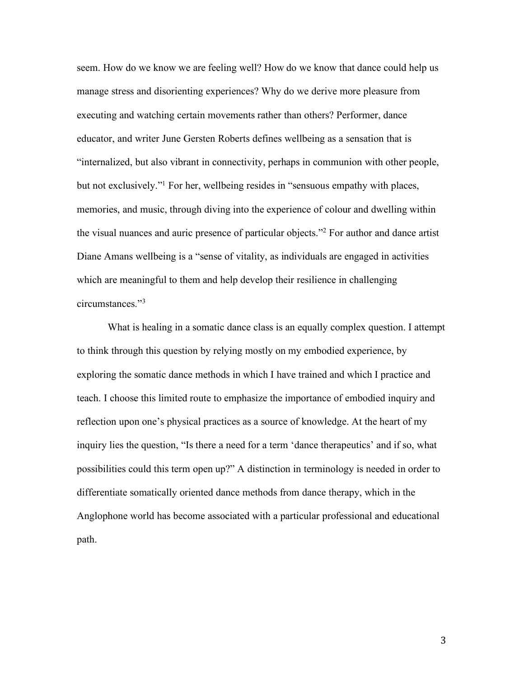seem. How do we know we are feeling well? How do we know that dance could help us manage stress and disorienting experiences? Why do we derive more pleasure from executing and watching certain movements rather than others? Performer, dance educator, and writer June Gersten Roberts defines wellbeing as a sensation that is "internalized, but also vibrant in connectivity, perhaps in communion with other people, but not exclusively."1 For her, wellbeing resides in "sensuous empathy with places, memories, and music, through diving into the experience of colour and dwelling within the visual nuances and auric presence of particular objects."2 For author and dance artist Diane Amans wellbeing is a "sense of vitality, as individuals are engaged in activities which are meaningful to them and help develop their resilience in challenging circumstances."3

What is healing in a somatic dance class is an equally complex question. I attempt to think through this question by relying mostly on my embodied experience, by exploring the somatic dance methods in which I have trained and which I practice and teach. I choose this limited route to emphasize the importance of embodied inquiry and reflection upon one's physical practices as a source of knowledge. At the heart of my inquiry lies the question, "Is there a need for a term 'dance therapeutics' and if so, what possibilities could this term open up?" A distinction in terminology is needed in order to differentiate somatically oriented dance methods from dance therapy, which in the Anglophone world has become associated with a particular professional and educational path.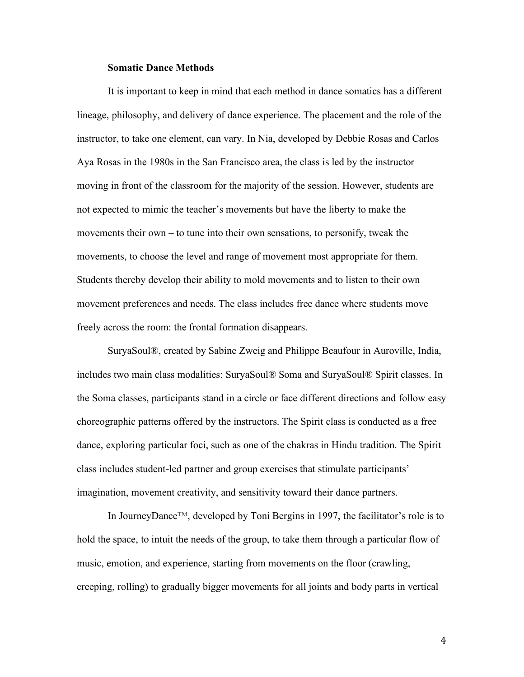#### **Somatic Dance Methods**

It is important to keep in mind that each method in dance somatics has a different lineage, philosophy, and delivery of dance experience. The placement and the role of the instructor, to take one element, can vary. In Nia, developed by Debbie Rosas and Carlos Aya Rosas in the 1980s in the San Francisco area, the class is led by the instructor moving in front of the classroom for the majority of the session. However, students are not expected to mimic the teacher's movements but have the liberty to make the movements their own – to tune into their own sensations, to personify, tweak the movements, to choose the level and range of movement most appropriate for them. Students thereby develop their ability to mold movements and to listen to their own movement preferences and needs. The class includes free dance where students move freely across the room: the frontal formation disappears.

SuryaSoul®, created by Sabine Zweig and Philippe Beaufour in Auroville, India, includes two main class modalities: SuryaSoul® Soma and SuryaSoul® Spirit classes. In the Soma classes, participants stand in a circle or face different directions and follow easy choreographic patterns offered by the instructors. The Spirit class is conducted as a free dance, exploring particular foci, such as one of the chakras in Hindu tradition. The Spirit class includes student-led partner and group exercises that stimulate participants' imagination, movement creativity, and sensitivity toward their dance partners.

In JourneyDance™, developed by Toni Bergins in 1997, the facilitator's role is to hold the space, to intuit the needs of the group, to take them through a particular flow of music, emotion, and experience, starting from movements on the floor (crawling, creeping, rolling) to gradually bigger movements for all joints and body parts in vertical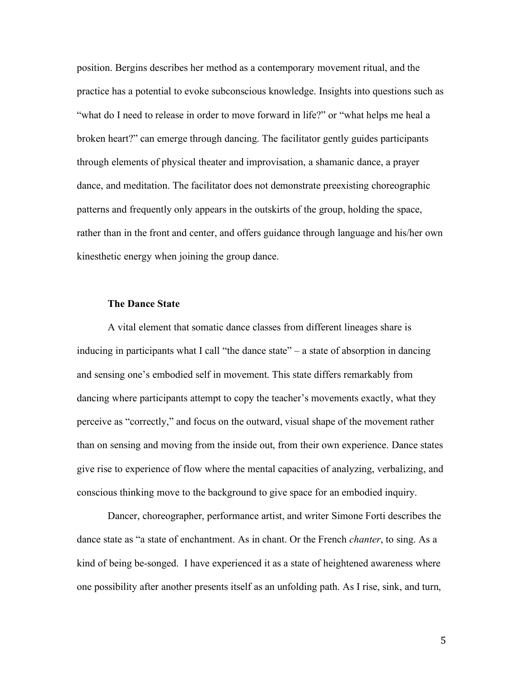position. Bergins describes her method as a contemporary movement ritual, and the practice has a potential to evoke subconscious knowledge. Insights into questions such as "what do I need to release in order to move forward in life?" or "what helps me heal a broken heart?" can emerge through dancing. The facilitator gently guides participants through elements of physical theater and improvisation, a shamanic dance, a prayer dance, and meditation. The facilitator does not demonstrate preexisting choreographic patterns and frequently only appears in the outskirts of the group, holding the space, rather than in the front and center, and offers guidance through language and his/her own kinesthetic energy when joining the group dance.

#### **The Dance State**

A vital element that somatic dance classes from different lineages share is inducing in participants what I call "the dance state" – a state of absorption in dancing and sensing one's embodied self in movement. This state differs remarkably from dancing where participants attempt to copy the teacher's movements exactly, what they perceive as "correctly," and focus on the outward, visual shape of the movement rather than on sensing and moving from the inside out, from their own experience. Dance states give rise to experience of flow where the mental capacities of analyzing, verbalizing, and conscious thinking move to the background to give space for an embodied inquiry.

Dancer, choreographer, performance artist, and writer Simone Forti describes the dance state as "a state of enchantment. As in chant. Or the French *chanter*, to sing. As a kind of being be-songed. I have experienced it as a state of heightened awareness where one possibility after another presents itself as an unfolding path. As I rise, sink, and turn,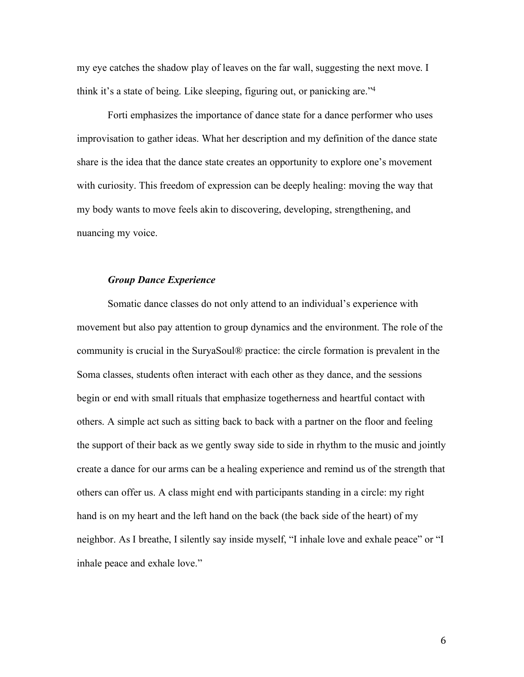my eye catches the shadow play of leaves on the far wall, suggesting the next move. I think it's a state of being. Like sleeping, figuring out, or panicking are."4

Forti emphasizes the importance of dance state for a dance performer who uses improvisation to gather ideas. What her description and my definition of the dance state share is the idea that the dance state creates an opportunity to explore one's movement with curiosity. This freedom of expression can be deeply healing: moving the way that my body wants to move feels akin to discovering, developing, strengthening, and nuancing my voice.

### *Group Dance Experience*

Somatic dance classes do not only attend to an individual's experience with movement but also pay attention to group dynamics and the environment. The role of the community is crucial in the SuryaSoul® practice: the circle formation is prevalent in the Soma classes, students often interact with each other as they dance, and the sessions begin or end with small rituals that emphasize togetherness and heartful contact with others. A simple act such as sitting back to back with a partner on the floor and feeling the support of their back as we gently sway side to side in rhythm to the music and jointly create a dance for our arms can be a healing experience and remind us of the strength that others can offer us. A class might end with participants standing in a circle: my right hand is on my heart and the left hand on the back (the back side of the heart) of my neighbor. As I breathe, I silently say inside myself, "I inhale love and exhale peace" or "I inhale peace and exhale love."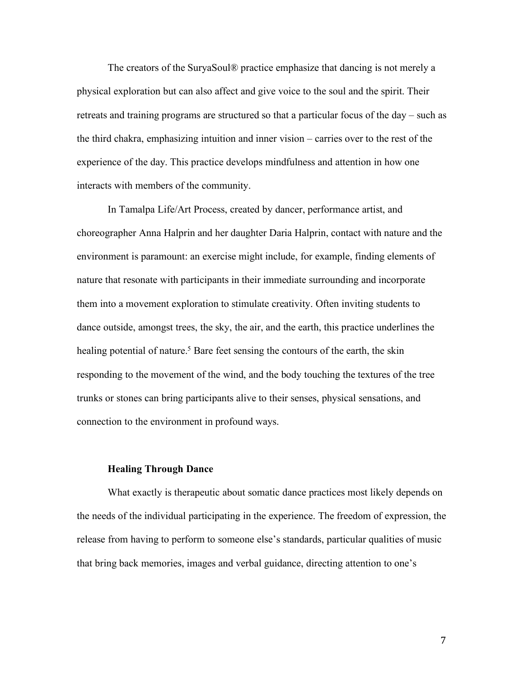The creators of the SuryaSoul® practice emphasize that dancing is not merely a physical exploration but can also affect and give voice to the soul and the spirit. Their retreats and training programs are structured so that a particular focus of the day – such as the third chakra, emphasizing intuition and inner vision – carries over to the rest of the experience of the day. This practice develops mindfulness and attention in how one interacts with members of the community.

In Tamalpa Life/Art Process, created by dancer, performance artist, and choreographer Anna Halprin and her daughter Daria Halprin, contact with nature and the environment is paramount: an exercise might include, for example, finding elements of nature that resonate with participants in their immediate surrounding and incorporate them into a movement exploration to stimulate creativity. Often inviting students to dance outside, amongst trees, the sky, the air, and the earth, this practice underlines the healing potential of nature.<sup>5</sup> Bare feet sensing the contours of the earth, the skin responding to the movement of the wind, and the body touching the textures of the tree trunks or stones can bring participants alive to their senses, physical sensations, and connection to the environment in profound ways.

#### **Healing Through Dance**

What exactly is therapeutic about somatic dance practices most likely depends on the needs of the individual participating in the experience. The freedom of expression, the release from having to perform to someone else's standards, particular qualities of music that bring back memories, images and verbal guidance, directing attention to one's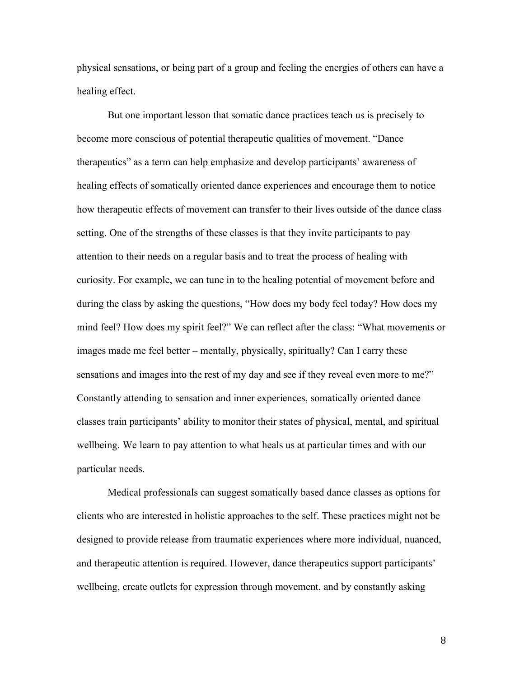physical sensations, or being part of a group and feeling the energies of others can have a healing effect.

But one important lesson that somatic dance practices teach us is precisely to become more conscious of potential therapeutic qualities of movement. "Dance therapeutics" as a term can help emphasize and develop participants' awareness of healing effects of somatically oriented dance experiences and encourage them to notice how therapeutic effects of movement can transfer to their lives outside of the dance class setting. One of the strengths of these classes is that they invite participants to pay attention to their needs on a regular basis and to treat the process of healing with curiosity. For example, we can tune in to the healing potential of movement before and during the class by asking the questions, "How does my body feel today? How does my mind feel? How does my spirit feel?" We can reflect after the class: "What movements or images made me feel better – mentally, physically, spiritually? Can I carry these sensations and images into the rest of my day and see if they reveal even more to me?" Constantly attending to sensation and inner experiences, somatically oriented dance classes train participants' ability to monitor their states of physical, mental, and spiritual wellbeing. We learn to pay attention to what heals us at particular times and with our particular needs.

Medical professionals can suggest somatically based dance classes as options for clients who are interested in holistic approaches to the self. These practices might not be designed to provide release from traumatic experiences where more individual, nuanced, and therapeutic attention is required. However, dance therapeutics support participants' wellbeing, create outlets for expression through movement, and by constantly asking